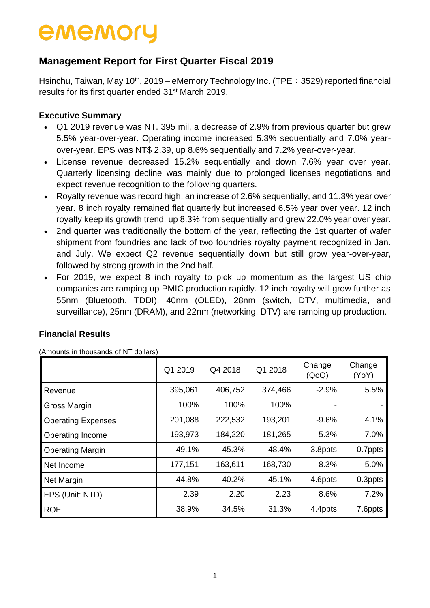## **Management Report for First Quarter Fiscal 2019**

Hsinchu, Taiwan, May 10<sup>th</sup>, 2019 – eMemory Technology Inc. (TPE: 3529) reported financial results for its first quarter ended 31st March 2019.

## **Executive Summary**

- Q1 2019 revenue was NT. 395 mil, a decrease of 2.9% from previous quarter but grew 5.5% year-over-year. Operating income increased 5.3% sequentially and 7.0% yearover-year. EPS was NT\$ 2.39, up 8.6% sequentially and 7.2% year-over-year.
- License revenue decreased 15.2% sequentially and down 7.6% year over year. Quarterly licensing decline was mainly due to prolonged licenses negotiations and expect revenue recognition to the following quarters.
- Royalty revenue was record high, an increase of 2.6% sequentially, and 11.3% year over year. 8 inch royalty remained flat quarterly but increased 6.5% year over year. 12 inch royalty keep its growth trend, up 8.3% from sequentially and grew 22.0% year over year.
- 2nd quarter was traditionally the bottom of the year, reflecting the 1st quarter of wafer shipment from foundries and lack of two foundries royalty payment recognized in Jan. and July. We expect Q2 revenue sequentially down but still grow year-over-year, followed by strong growth in the 2nd half.
- For 2019, we expect 8 inch royalty to pick up momentum as the largest US chip companies are ramping up PMIC production rapidly. 12 inch royalty will grow further as 55nm (Bluetooth, TDDI), 40nm (OLED), 28nm (switch, DTV, multimedia, and surveillance), 25nm (DRAM), and 22nm (networking, DTV) are ramping up production.

## **Financial Results**

|  | (Amounts in thousands of NT dollars) |  |  |
|--|--------------------------------------|--|--|
|  |                                      |  |  |

|                           | Q1 2019 | Q4 2018 | Q1 2018 | Change<br>(QoQ) | Change<br>(YoY) |
|---------------------------|---------|---------|---------|-----------------|-----------------|
| Revenue                   | 395,061 | 406,752 | 374,466 | $-2.9%$         | 5.5%            |
| Gross Margin              | 100%    | 100%    | 100%    | -               |                 |
| <b>Operating Expenses</b> | 201,088 | 222,532 | 193,201 | $-9.6%$         | 4.1%            |
| Operating Income          | 193,973 | 184,220 | 181,265 | 5.3%            | 7.0%            |
| <b>Operating Margin</b>   | 49.1%   | 45.3%   | 48.4%   | 3.8ppts         | 0.7ppts         |
| Net Income                | 177,151 | 163,611 | 168,730 | 8.3%            | 5.0%            |
| <b>Net Margin</b>         | 44.8%   | 40.2%   | 45.1%   | 4.6ppts         | $-0.3$ ppts     |
| EPS (Unit: NTD)           | 2.39    | 2.20    | 2.23    | 8.6%            | 7.2%            |
| <b>ROE</b>                | 38.9%   | 34.5%   | 31.3%   | 4.4ppts         | 7.6ppts         |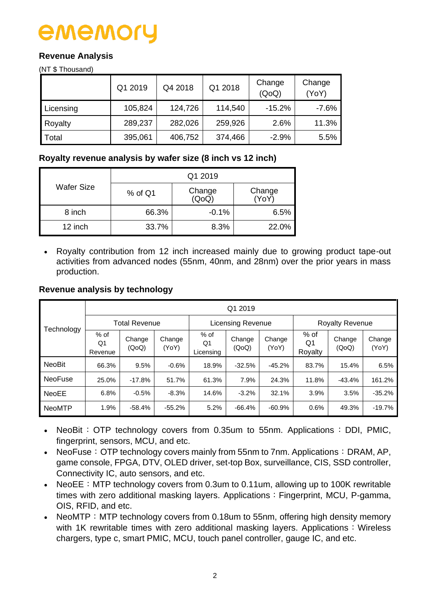# ememo

## **Revenue Analysis**

(NT \$ Thousand)

|           | Q1 2019 | Q4 2018 | Q1 2018 | Change<br>(QoQ) | Change<br>(YoY) |
|-----------|---------|---------|---------|-----------------|-----------------|
| Licensing | 105,824 | 124,726 | 114,540 | $-15.2%$        | $-7.6%$         |
| Royalty   | 289,237 | 282,026 | 259,926 | 2.6%            | 11.3%           |
| Total     | 395,061 | 406,752 | 374,466 | $-2.9%$         | 5.5%            |

## **Royalty revenue analysis by wafer size (8 inch vs 12 inch)**

|                   | Q1 2019   |                 |                 |  |  |  |  |
|-------------------|-----------|-----------------|-----------------|--|--|--|--|
| <b>Wafer Size</b> | $%$ of Q1 | Change<br>(QoQ) | Change<br>(YoY) |  |  |  |  |
| 8 inch            | 66.3%     | $-0.1%$         | 6.5%            |  |  |  |  |
| 12 inch           | 33.7%     | 8.3%            | 22.0%           |  |  |  |  |

 Royalty contribution from 12 inch increased mainly due to growing product tape-out activities from advanced nodes (55nm, 40nm, and 28nm) over the prior years in mass production.

### **Revenue analysis by technology**

|                | Q1 2019                 |                      |                 |                           |                          |                 |                         |                 |                 |  |  |  |  |
|----------------|-------------------------|----------------------|-----------------|---------------------------|--------------------------|-----------------|-------------------------|-----------------|-----------------|--|--|--|--|
| Technology     |                         | <b>Total Revenue</b> |                 |                           | <b>Licensing Revenue</b> |                 | <b>Royalty Revenue</b>  |                 |                 |  |  |  |  |
|                | $%$ of<br>Q1<br>Revenue | Change<br>(QoQ)      | Change<br>(YoY) | $%$ of<br>Q1<br>Licensing | Change<br>(QoQ)          | Change<br>(YoY) | $%$ of<br>Q1<br>Royalty | Change<br>(QoQ) | Change<br>(YoY) |  |  |  |  |
| <b>NeoBit</b>  | 66.3%                   | 9.5%                 | $-0.6%$         | 18.9%                     | $-32.5%$                 | $-45.2%$        | 83.7%                   | 15.4%           | 6.5%            |  |  |  |  |
| <b>NeoFuse</b> | 25.0%                   | $-17.8%$             | 51.7%           | 61.3%                     | 7.9%                     | 24.3%           | 11.8%                   | $-43.4%$        | 161.2%          |  |  |  |  |
| <b>NeoEE</b>   | 6.8%                    | $-0.5%$              | $-8.3%$         | 14.6%                     | $-3.2%$                  | 32.1%           | 3.9%                    | 3.5%            | $-35.2%$        |  |  |  |  |
| <b>NeoMTP</b>  | 1.9%                    | $-58.4%$             | $-55.2%$        | 5.2%                      | $-66.4%$                 | $-60.9%$        | 0.6%                    | 49.3%           | $-19.7%$        |  |  |  |  |

- NeoBit: OTP technology covers from 0.35um to 55nm. Applications: DDI, PMIC, fingerprint, sensors, MCU, and etc.
- NeoFuse: OTP technology covers mainly from 55nm to 7nm. Applications: DRAM, AP, game console, FPGA, DTV, OLED driver, set-top Box, surveillance, CIS, SSD controller, Connectivity IC, auto sensors, and etc.
- NeoEE: MTP technology covers from 0.3um to 0.11um, allowing up to 100K rewritable times with zero additional masking layers. Applications: Fingerprint, MCU, P-gamma, OIS, RFID, and etc.
- NeoMTP: MTP technology covers from 0.18um to 55nm, offering high density memory with  $1K$  rewritable times with zero additional masking layers. Applications: Wireless chargers, type c, smart PMIC, MCU, touch panel controller, gauge IC, and etc.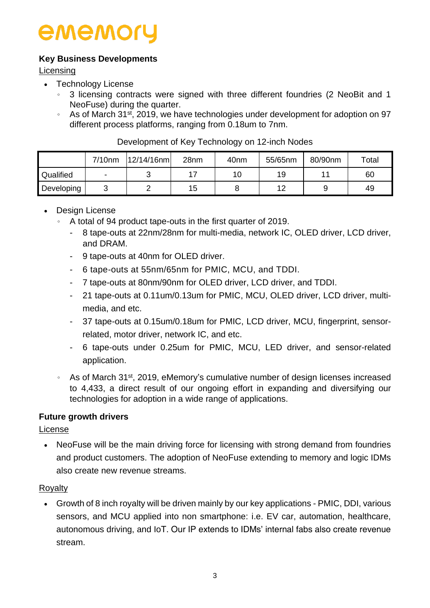## **Key Business Developments**

Licensing

- Technology License
	- 。 3 licensing contracts were signed with three different foundries (2 NeoBit and 1 NeoFuse) during the quarter.
	- As of March 31<sup>st</sup>, 2019, we have technologies under development for adoption on 97 different process platforms, ranging from 0.18um to 7nm.

|            | 7/10nm | 12/14/16nm | 28nm | 40 <sub>nm</sub> | 55/65nm | 80/90nm | $\tau$ otal |
|------------|--------|------------|------|------------------|---------|---------|-------------|
| Qualified  | ۰      |            |      | 10               | 19      |         | 60          |
| Developing | ັ      |            | 15   |                  |         |         | 49          |

### Development of Key Technology on 12-inch Nodes

- Design License
	- 。 A total of 94 product tape-outs in the first quarter of 2019.
		- 8 tape-outs at 22nm/28nm for multi-media, network IC, OLED driver, LCD driver, and DRAM.
		- 9 tape-outs at 40nm for OLED driver.
		- 6 tape-outs at 55nm/65nm for PMIC, MCU, and TDDI.
		- 7 tape-outs at 80nm/90nm for OLED driver, LCD driver, and TDDI.
		- 21 tape-outs at 0.11um/0.13um for PMIC, MCU, OLED driver, LCD driver, multimedia, and etc.
		- 37 tape-outs at 0.15um/0.18um for PMIC, LCD driver, MCU, fingerprint, sensorrelated, motor driver, network IC, and etc.
		- 6 tape-outs under 0.25um for PMIC, MCU, LED driver, and sensor-related application.
	- 。 As of March 31st, 2019, eMemory's cumulative number of design licenses increased to 4,433, a direct result of our ongoing effort in expanding and diversifying our technologies for adoption in a wide range of applications.

## **Future growth drivers**

License

• NeoFuse will be the main driving force for licensing with strong demand from foundries and product customers. The adoption of NeoFuse extending to memory and logic IDMs also create new revenue streams.

## **Rovalty**

 Growth of 8 inch royalty will be driven mainly by our key applications - PMIC, DDI, various sensors, and MCU applied into non smartphone: i.e. EV car, automation, healthcare, autonomous driving, and IoT. Our IP extends to IDMs' internal fabs also create revenue stream.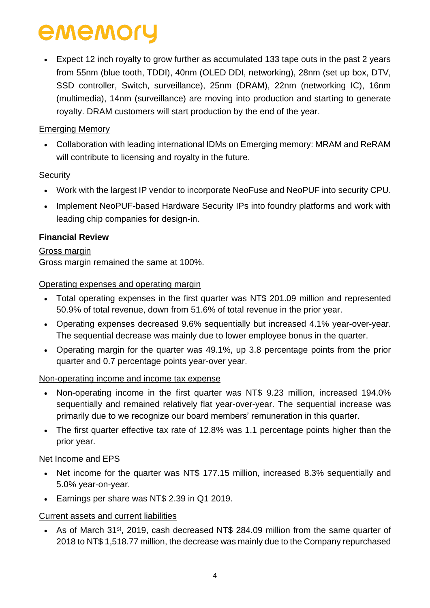Expect 12 inch royalty to grow further as accumulated 133 tape outs in the past 2 years from 55nm (blue tooth, TDDI), 40nm (OLED DDI, networking), 28nm (set up box, DTV, SSD controller, Switch, surveillance), 25nm (DRAM), 22nm (networking IC), 16nm (multimedia), 14nm (surveillance) are moving into production and starting to generate royalty. DRAM customers will start production by the end of the year.

## Emerging Memory

 Collaboration with leading international IDMs on Emerging memory: MRAM and ReRAM will contribute to licensing and royalty in the future.

## **Security**

- Work with the largest IP vendor to incorporate NeoFuse and NeoPUF into security CPU.
- Implement NeoPUF-based Hardware Security IPs into foundry platforms and work with leading chip companies for design-in.

## **Financial Review**

## Gross margin

Gross margin remained the same at 100%.

## Operating expenses and operating margin

- Total operating expenses in the first quarter was NT\$ 201.09 million and represented 50.9% of total revenue, down from 51.6% of total revenue in the prior year.
- Operating expenses decreased 9.6% sequentially but increased 4.1% year-over-year. The sequential decrease was mainly due to lower employee bonus in the quarter.
- Operating margin for the quarter was 49.1%, up 3.8 percentage points from the prior quarter and 0.7 percentage points year-over year.

## Non-operating income and income tax expense

- Non-operating income in the first quarter was NT\$ 9.23 million, increased 194.0% sequentially and remained relatively flat year-over-year. The sequential increase was primarily due to we recognize our board members' remuneration in this quarter.
- The first quarter effective tax rate of 12.8% was 1.1 percentage points higher than the prior year.

## Net Income and EPS

- Net income for the quarter was NT\$ 177.15 million, increased 8.3% sequentially and 5.0% year-on-year.
- Earnings per share was NT\$ 2.39 in Q1 2019.

## Current assets and current liabilities

• As of March 31<sup>st</sup>, 2019, cash decreased NT\$ 284.09 million from the same quarter of 2018 to NT\$ 1,518.77 million, the decrease was mainly due to the Company repurchased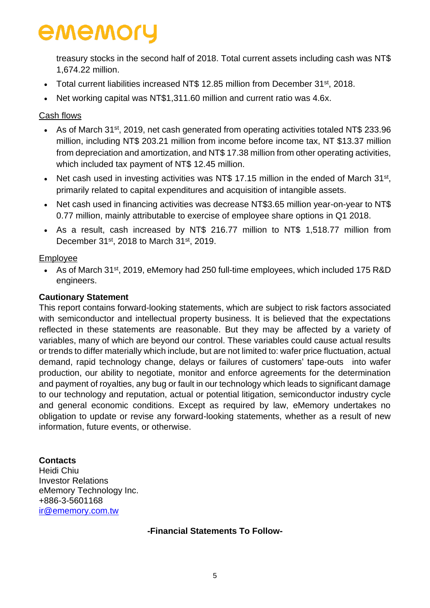treasury stocks in the second half of 2018. Total current assets including cash was NT\$ 1,674.22 million.

- Total current liabilities increased NT\$ 12.85 million from December 31<sup>st</sup>, 2018.
- Net working capital was NT\$1,311.60 million and current ratio was 4.6x.

### Cash flows

- As of March 31st, 2019, net cash generated from operating activities totaled NT\$ 233.96 million, including NT\$ 203.21 million from income before income tax, NT \$13.37 million from depreciation and amortization, and NT\$ 17.38 million from other operating activities, which included tax payment of NT\$ 12.45 million.
- Net cash used in investing activities was NT\$ 17.15 million in the ended of March  $31^{st}$ , primarily related to capital expenditures and acquisition of intangible assets.
- Net cash used in financing activities was decrease NT\$3.65 million year-on-year to NT\$ 0.77 million, mainly attributable to exercise of employee share options in Q1 2018.
- As a result, cash increased by NT\$ 216.77 million to NT\$ 1,518.77 million from December 31st, 2018 to March 31st, 2019.

### Employee

• As of March 31<sup>st</sup>, 2019, eMemory had 250 full-time employees, which included 175 R&D engineers.

### **Cautionary Statement**

This report contains forward-looking statements, which are subject to risk factors associated with semiconductor and intellectual property business. It is believed that the expectations reflected in these statements are reasonable. But they may be affected by a variety of variables, many of which are beyond our control. These variables could cause actual results or trends to differ materially which include, but are not limited to: wafer price fluctuation, actual demand, rapid technology change, delays or failures of customers' tape-outs into wafer production, our ability to negotiate, monitor and enforce agreements for the determination and payment of royalties, any bug or fault in our technology which leads to significant damage to our technology and reputation, actual or potential litigation, semiconductor industry cycle and general economic conditions. Except as required by law, eMemory undertakes no obligation to update or revise any forward-looking statements, whether as a result of new information, future events, or otherwise.

#### **Contacts**

Heidi Chiu Investor Relations eMemory Technology Inc. +886-3-5601168 [ir@ememory.com.tw](mailto:ir@ememory.com.tw)

#### **-Financial Statements To Follow-**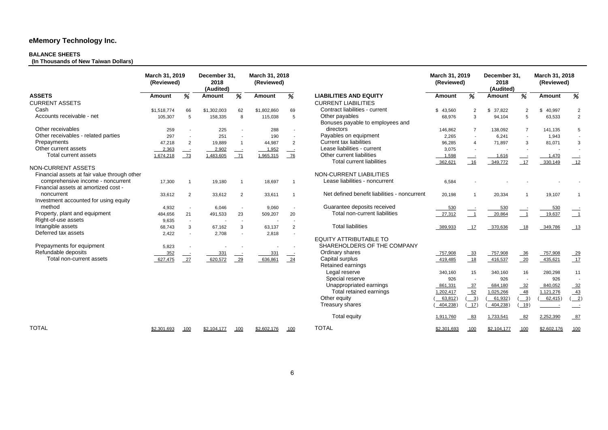## **BALANCE SHEETS**

**(In Thousands of New Taiwan Dollars)** 

|                                                                           | March 31, 2019<br>(Reviewed) |                | December 31,<br>2018<br>(Audited) |                          | March 31, 2018<br>(Reviewed) |                |                                                    | March 31, 2019<br>(Reviewed) |                         | December 31,<br>2018<br>(Audited) |                | March 31, 2018<br>(Reviewed) |                                                                |
|---------------------------------------------------------------------------|------------------------------|----------------|-----------------------------------|--------------------------|------------------------------|----------------|----------------------------------------------------|------------------------------|-------------------------|-----------------------------------|----------------|------------------------------|----------------------------------------------------------------|
| <b>ASSETS</b>                                                             | <b>Amount</b>                | %              | <b>Amount</b>                     | %                        | <b>Amount</b>                | %              | <b>LIABILITIES AND EQUITY</b>                      | <b>Amount</b>                | %                       | <b>Amount</b>                     | %              | <b>Amount</b>                | %                                                              |
| <b>CURRENT ASSETS</b>                                                     |                              |                |                                   |                          |                              |                | <b>CURRENT LIABILITIES</b>                         |                              |                         |                                   |                |                              |                                                                |
| Cash                                                                      | \$1,518,774                  | 66             | \$1,302,003                       | 62                       | \$1,802,860                  | 69             | Contract liabilities - current                     | \$43,560                     | 2                       | 37,822<br>\$                      |                | \$<br>40,997                 |                                                                |
| Accounts receivable - net                                                 | 105,307                      | 5              | 158,335                           | 8                        | 115,038                      | 5              | Other payables<br>Bonuses payable to employees and | 68,976                       | 3                       | 94,104                            |                | 63,533                       | $\overline{2}$                                                 |
| Other receivables                                                         | 259                          |                | 225                               |                          | 288                          |                | directors                                          | 146,862                      | $\overline{7}$          | 138,092                           | $\overline{7}$ | 141,135                      |                                                                |
| Other receivables - related parties                                       | 297                          |                | 251                               |                          | 190                          |                | Payables on equipment                              | 2,265                        | $\sim$                  | 6,241                             |                | 1,943                        |                                                                |
| Prepayments                                                               | 47,218                       | $\overline{2}$ | 19,889                            | $\overline{\phantom{0}}$ | 44,987                       | $\overline{2}$ | <b>Current tax liabilities</b>                     | 96,285                       | $\overline{4}$          | 71,897                            | 3              | 81,071                       |                                                                |
| Other current assets                                                      | $-2,363$                     | $\equiv$       | $-2,902$                          | $\equiv$                 | 1,952                        |                | Lease liabilities - current                        | 3,075                        |                         |                                   |                |                              |                                                                |
| <b>Total current assets</b>                                               | 1,674,218                    | $\frac{73}{2}$ | 1,483,605                         | $-71$                    | 1,965,315                    | $-76$          | Other current liabilities                          | 1,598                        | $\equiv$                | 1,616                             |                | 1,470                        |                                                                |
|                                                                           |                              |                |                                   |                          |                              |                | <b>Total current liabilities</b>                   | 362,621                      | 16                      | 349,772                           | 17             | 330,149                      | $-12$                                                          |
| NON-CURRENT ASSETS<br>Financial assets at fair value through other        |                              |                |                                   |                          |                              |                | NON-CURRENT LIABILITIES                            |                              |                         |                                   |                |                              |                                                                |
| comprehensive income - noncurrent<br>Financial assets at amortized cost - | 17,300                       |                | 19,180                            |                          | 18,697                       | -1             | Lease liabilities - noncurrent                     | 6,584                        |                         |                                   |                |                              |                                                                |
| noncurrent<br>Investment accounted for using equity                       | 33,612                       | 2              | 33,612                            | $\overline{2}$           | 33,611                       | -1             | Net defined benefit liabilities - noncurrent       | 20,198                       | $\overline{\mathbf{1}}$ | 20,334                            |                | 19,107                       |                                                                |
| method                                                                    | 4,932                        | $\sim$         | 6,046                             |                          | 9,060                        |                | Guarantee deposits received                        | 530                          |                         | 530                               |                | 530                          |                                                                |
| Property, plant and equipment                                             | 484,656                      | 21             | 491,533                           | 23                       | 509,207                      | 20             | <b>Total non-current liabilities</b>               | 27,312                       | $\overline{1}$          | 20,864                            |                | 19,637                       |                                                                |
| Right-of-use assets                                                       | 9,635                        | $\sim$         |                                   | $\sim$                   |                              |                |                                                    |                              |                         |                                   |                |                              |                                                                |
| Intangible assets                                                         | 68,743                       | 3              | 67,162                            | 3                        | 63,137                       | 2              | <b>Total liabilities</b>                           | 389,933                      | -17                     | 370,636                           | 18             | 349,786                      | $-13$                                                          |
| Deferred tax assets                                                       | 2,422                        |                | 2,708                             |                          | 2,818                        |                | <b>EQUITY ATTRIBUTABLE TO</b>                      |                              |                         |                                   |                |                              |                                                                |
| Prepayments for equipment                                                 | 5,823                        |                |                                   |                          |                              |                | SHAREHOLDERS OF THE COMPANY                        |                              |                         |                                   |                |                              |                                                                |
| Refundable deposits                                                       | 352                          |                | 331                               |                          | 331                          |                | Ordinary shares                                    | 757,908                      | 33                      | 757,908                           | $-36$          | 757,908                      | $-29$                                                          |
| Total non-current assets                                                  | 627,475                      | 27             | 620,572                           | 29                       | 636,861                      | $-24$          | Capital surplus<br>Retained earnings               | 419,485                      | 18                      | 416,537                           | $-20$          | 435,621                      | 17                                                             |
|                                                                           |                              |                |                                   |                          |                              |                | Legal reserve                                      | 340,160                      | 15                      | 340,160                           | 16             | 280,298                      | 11                                                             |
|                                                                           |                              |                |                                   |                          |                              |                | Special reserve                                    | 926                          |                         | 926                               |                | 926                          |                                                                |
|                                                                           |                              |                |                                   |                          |                              |                | Unappropriated earnings                            | 861,331                      | $\frac{37}{52}$         | 684,180                           | $-32$          | 840,052                      |                                                                |
|                                                                           |                              |                |                                   |                          |                              |                | Total retained earnings                            | 1,202,417                    |                         | 1,025,266                         | 48             | 1,121,276                    | $\frac{32}{43}$                                                |
|                                                                           |                              |                |                                   |                          |                              |                | Other equity                                       | 63,812)                      | $\overline{3})$         | 61,932)                           | $\frac{3}{2}$  | (62, 415)                    | $(\underline{\underline{\phantom{A}}}\underline{\phantom{A}})$ |
|                                                                           |                              |                |                                   |                          |                              |                | <b>Treasury shares</b>                             | 404,238                      | (17)                    | 404,238)                          | 19)            |                              |                                                                |
|                                                                           |                              |                |                                   |                          |                              |                | <b>Total equity</b>                                | 1,911,760                    | 83                      | 1,733,541                         | $-82$          | 2,252,390                    | 87                                                             |
| <b>TOTAL</b>                                                              | \$2,301,693                  | 100            | \$2,104,177                       | 100                      | \$2,602,176                  | 100            | <b>TOTAL</b>                                       | \$2,301,693                  | 100                     | \$2,104,177                       | 100            | \$2,602,176                  | 100                                                            |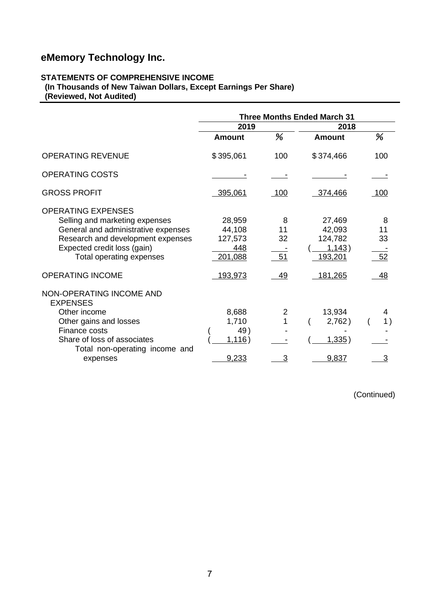## **STATEMENTS OF COMPREHENSIVE INCOME**

**(In Thousands of New Taiwan Dollars, Except Earnings Per Share) (Reviewed, Not Audited)** 

|                                                                                                                                                                                                    | <b>Three Months Ended March 31</b>            |                     |                                                  |                     |  |
|----------------------------------------------------------------------------------------------------------------------------------------------------------------------------------------------------|-----------------------------------------------|---------------------|--------------------------------------------------|---------------------|--|
|                                                                                                                                                                                                    | 2019                                          |                     | 2018                                             |                     |  |
|                                                                                                                                                                                                    | <b>Amount</b>                                 | %                   | <b>Amount</b>                                    | %                   |  |
| <b>OPERATING REVENUE</b>                                                                                                                                                                           | \$395,061                                     | 100                 | \$374,466                                        | 100                 |  |
| <b>OPERATING COSTS</b>                                                                                                                                                                             |                                               |                     |                                                  |                     |  |
| <b>GROSS PROFIT</b>                                                                                                                                                                                | 395,061                                       | 100                 | 374,466                                          | <u>100</u>          |  |
| <b>OPERATING EXPENSES</b><br>Selling and marketing expenses<br>General and administrative expenses<br>Research and development expenses<br>Expected credit loss (gain)<br>Total operating expenses | 28,959<br>44,108<br>127,573<br>448<br>201,088 | 8<br>11<br>32<br>51 | 27,469<br>42,093<br>124,782<br>1,143)<br>193,201 | 8<br>11<br>33<br>52 |  |
| <b>OPERATING INCOME</b>                                                                                                                                                                            | 193,973                                       | 49                  | <u>181,265</u>                                   | 48                  |  |
| NON-OPERATING INCOME AND<br><b>EXPENSES</b><br>Other income<br>Other gains and losses<br>Finance costs<br>Share of loss of associates<br>Total non-operating income and                            | 8,688<br>1,710<br>49)<br>1,116)               | 2                   | 13,934<br>2,762)<br><u>1,335</u> )               | 4<br>1)             |  |
| expenses                                                                                                                                                                                           | 9,233                                         | 3                   | 9,837                                            | 3                   |  |

(Continued)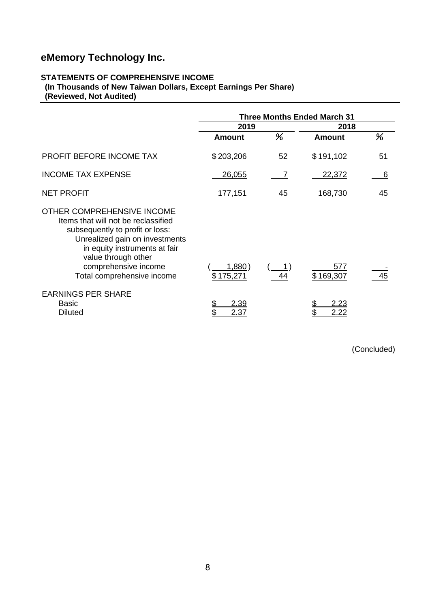## **STATEMENTS OF COMPREHENSIVE INCOME**

**(In Thousands of New Taiwan Dollars, Except Earnings Per Share) (Reviewed, Not Audited)** 

|                                                                                                                                                                                                                                                      | <b>Three Months Ended March 31</b> |    |                  |    |  |  |
|------------------------------------------------------------------------------------------------------------------------------------------------------------------------------------------------------------------------------------------------------|------------------------------------|----|------------------|----|--|--|
|                                                                                                                                                                                                                                                      | 2019                               |    | 2018             |    |  |  |
|                                                                                                                                                                                                                                                      | <b>Amount</b>                      | %  | <b>Amount</b>    | %  |  |  |
| PROFIT BEFORE INCOME TAX                                                                                                                                                                                                                             | \$203,206                          | 52 | \$191,102        | 51 |  |  |
| <b>INCOME TAX EXPENSE</b>                                                                                                                                                                                                                            | 26,055                             |    | 22,372           | 6  |  |  |
| <b>NET PROFIT</b>                                                                                                                                                                                                                                    | 177,151                            | 45 | 168,730          | 45 |  |  |
| OTHER COMPREHENSIVE INCOME<br>Items that will not be reclassified<br>subsequently to profit or loss:<br>Unrealized gain on investments<br>in equity instruments at fair<br>value through other<br>comprehensive income<br>Total comprehensive income | 1,880)<br>\$175,271                |    | 577<br>\$169,307 |    |  |  |
| <b>EARNINGS PER SHARE</b><br><b>Basic</b><br><b>Diluted</b>                                                                                                                                                                                          | 2.39<br>2.37                       |    | 2.22             |    |  |  |

(Concluded)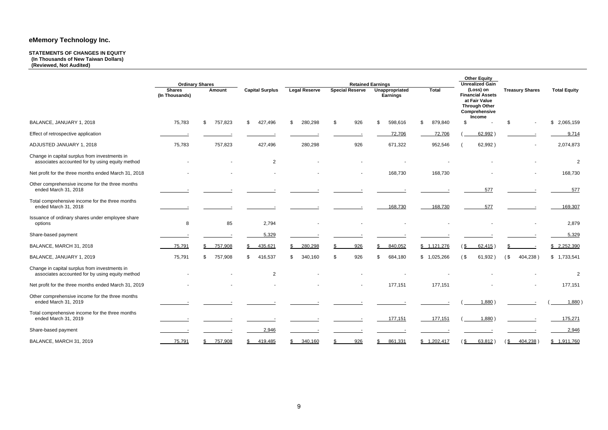### **STATEMENTS OF CHANGES IN EQUITY**

**(In Thousands of New Taiwan Dollars) (Reviewed, Not Audited)** 

| <b>Total</b>   |               | <b>Other Equity</b><br><b>Unrealized Gain</b><br>(Loss) on<br><b>Financial Assets</b><br>at Fair Value<br><b>Through Other</b><br>Comprehensive |        | <b>Treasury Shares</b>                          |          | <b>Total Equity</b> |  |  |
|----------------|---------------|-------------------------------------------------------------------------------------------------------------------------------------------------|--------|-------------------------------------------------|----------|---------------------|--|--|
| 879,840        | \$            | Income                                                                                                                                          | \$     |                                                 | \$       | 2,065,159           |  |  |
| 72,706         |               | $(\underline{\hspace{1cm}62,992})$                                                                                                              |        |                                                 |          | 9,714               |  |  |
| 952,546        | (             | 62,992)                                                                                                                                         |        |                                                 |          | 2,074,873           |  |  |
|                |               |                                                                                                                                                 |        |                                                 |          | 2                   |  |  |
| 168,730        |               |                                                                                                                                                 |        |                                                 |          | 168,730             |  |  |
|                |               | <u>577</u>                                                                                                                                      |        |                                                 |          | <u>577</u>          |  |  |
| 168,730        |               | <u>577</u>                                                                                                                                      |        |                                                 |          | 169,307             |  |  |
|                |               |                                                                                                                                                 |        |                                                 |          | 2,879               |  |  |
|                |               |                                                                                                                                                 |        |                                                 |          | 5,329               |  |  |
| <u>121,276</u> | $\frac{1}{2}$ | 62,415)                                                                                                                                         | \$     |                                                 | \$       | 2,252,390           |  |  |
| ,025,266       | $($ \$        | 61,932)                                                                                                                                         | $($ \$ | 404,238)                                        | \$       | 1,733,541           |  |  |
|                |               |                                                                                                                                                 |        |                                                 |          | 2                   |  |  |
| 177,151        |               |                                                                                                                                                 |        |                                                 |          | 177,151             |  |  |
|                | <u>-</u> (    | 1,880)                                                                                                                                          |        |                                                 | $\left($ | <u>1,880</u> )      |  |  |
|                |               | $177,151$ $($ $1,880)$ $($                                                                                                                      |        |                                                 |          | 175,271             |  |  |
|                |               |                                                                                                                                                 |        |                                                 |          | 2,946               |  |  |
|                |               |                                                                                                                                                 |        | 1,202,417 (\$ 63,812) (\$ 404,238) \$ 1,911,760 |          |                     |  |  |

|                                                                                                  |                                 | <b>Ordinary Shares</b> |                        |                      |                        | <b>Retained Earnings</b>                 | <b>Other Equity</b><br><b>Unrealized Gain</b> |                                                                                                          |                        |                     |
|--------------------------------------------------------------------------------------------------|---------------------------------|------------------------|------------------------|----------------------|------------------------|------------------------------------------|-----------------------------------------------|----------------------------------------------------------------------------------------------------------|------------------------|---------------------|
|                                                                                                  | <b>Shares</b><br>(In Thousands) | Amount                 | <b>Capital Surplus</b> | <b>Legal Reserve</b> | <b>Special Reserve</b> | <b>Unappropriated</b><br><b>Earnings</b> | <b>Total</b>                                  | (Loss) on<br><b>Financial Assets</b><br>at Fair Value<br><b>Through Other</b><br>Comprehensive<br>Income | <b>Treasury Shares</b> | <b>Total Equity</b> |
| BALANCE, JANUARY 1, 2018                                                                         | 75,783                          | 757,823<br>\$          | \$<br>427,496          | 280,298<br>\$        | 926<br>\$              | 598,616<br>\$                            | \$<br>879,840                                 | \$                                                                                                       | \$                     | \$2,065,159         |
| Effect of retrospective application                                                              |                                 |                        |                        |                      |                        | 72,706                                   | 72,706                                        | 62,992                                                                                                   |                        | 9,714               |
| ADJUSTED JANUARY 1, 2018                                                                         | 75,783                          | 757,823                | 427,496                | 280,298              | 926                    | 671,322                                  | 952,546                                       | 62,992)                                                                                                  |                        | 2,074,873           |
| Change in capital surplus from investments in<br>associates accounted for by using equity method |                                 |                        | $\overline{2}$         |                      |                        |                                          |                                               |                                                                                                          |                        | $\overline{2}$      |
| Net profit for the three months ended March 31, 2018                                             |                                 |                        |                        |                      |                        | 168,730                                  | 168,730                                       |                                                                                                          |                        | 168,730             |
| Other comprehensive income for the three months<br>ended March 31, 2018                          |                                 |                        |                        |                      |                        |                                          |                                               | 577                                                                                                      |                        | 577                 |
| Total comprehensive income for the three months<br>ended March 31, 2018                          |                                 |                        |                        |                      |                        | 168,730                                  | 168,730                                       | 577                                                                                                      |                        | 169,307             |
| Issuance of ordinary shares under employee share<br>options                                      | 8                               | 85                     | 2,794                  |                      |                        |                                          |                                               |                                                                                                          |                        | 2,879               |
| Share-based payment                                                                              |                                 |                        | 5,329                  |                      |                        |                                          |                                               |                                                                                                          |                        | 5,329               |
| BALANCE, MARCH 31, 2018                                                                          | 75,791                          | 757,908                | 435,621                | 280,298<br>\$        | 926                    | 840,052<br>\$                            | \$ 1,121,276                                  | 62,415<br>$$^{\circ}$                                                                                    |                        | \$2,252,390         |
| BALANCE, JANUARY 1, 2019                                                                         | 75,791                          | 757,908<br>\$.         | 416,537<br>\$          | 340,160<br>\$        | 926<br>-S              | 684,180<br>\$                            | \$1,025,266                                   | 61,932)<br>$($ \$                                                                                        | $($ \$<br>404,238)     | \$1,733,541         |
| Change in capital surplus from investments in<br>associates accounted for by using equity method |                                 |                        | $\overline{2}$         |                      |                        |                                          |                                               |                                                                                                          |                        | $\overline{2}$      |
| Net profit for the three months ended March 31, 2019                                             |                                 |                        |                        |                      |                        | 177,151                                  | 177,151                                       |                                                                                                          |                        | 177,151             |
| Other comprehensive income for the three months<br>ended March 31, 2019                          |                                 |                        |                        |                      |                        |                                          |                                               | 1,880                                                                                                    |                        | 1,880               |
| Total comprehensive income for the three months<br>ended March 31, 2019                          |                                 |                        |                        |                      |                        | 177,151                                  | 177,151                                       | 1,880                                                                                                    |                        | 175,271             |
| Share-based payment                                                                              |                                 |                        | 2,946                  |                      |                        |                                          |                                               |                                                                                                          |                        | 2,946               |
| BALANCE, MARCH 31, 2019                                                                          | 75,791                          | 757,908<br>\$.         | 419,485                | 340,160<br>\$        | 926                    | 861,331<br>\$                            | \$1,202,417                                   | $$^{2}$<br>63,812)                                                                                       | \$<br>404,238)         | \$1,911,760         |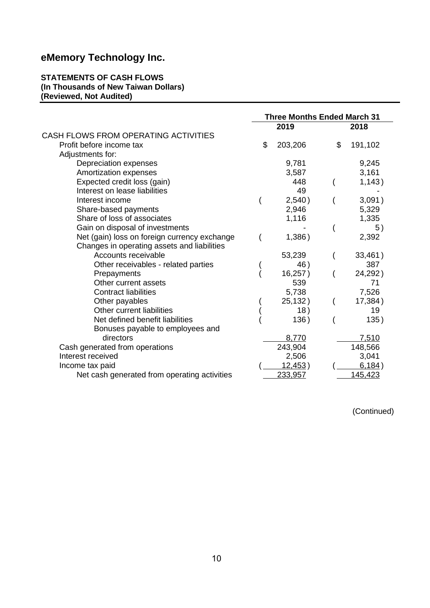#### **STATEMENTS OF CASH FLOWS (In Thousands of New Taiwan Dollars) (Reviewed, Not Audited)**

|                                              | <b>Three Months Ended March 31</b> |         |    |         |
|----------------------------------------------|------------------------------------|---------|----|---------|
|                                              |                                    | 2019    |    | 2018    |
| CASH FLOWS FROM OPERATING ACTIVITIES         |                                    |         |    |         |
| Profit before income tax                     | \$                                 | 203,206 | \$ | 191,102 |
| Adjustments for:                             |                                    |         |    |         |
| Depreciation expenses                        |                                    | 9,781   |    | 9,245   |
| Amortization expenses                        |                                    | 3,587   |    | 3,161   |
| Expected credit loss (gain)                  |                                    | 448     |    | 1,143)  |
| Interest on lease liabilities                |                                    | 49      |    |         |
| Interest income                              |                                    | 2,540)  |    | 3,091)  |
| Share-based payments                         |                                    | 2,946   |    | 5,329   |
| Share of loss of associates                  |                                    | 1,116   |    | 1,335   |
| Gain on disposal of investments              |                                    |         |    | 5)      |
| Net (gain) loss on foreign currency exchange |                                    | 1,386)  |    | 2,392   |
| Changes in operating assets and liabilities  |                                    |         |    |         |
| Accounts receivable                          |                                    | 53,239  |    | 33,461) |
| Other receivables - related parties          |                                    | 46)     |    | 387     |
| Prepayments                                  |                                    | 16,257) |    | 24,292) |
| Other current assets                         |                                    | 539     |    | 71      |
| <b>Contract liabilities</b>                  |                                    | 5,738   |    | 7,526   |
| Other payables                               |                                    | 25,132) |    | 17,384) |
| Other current liabilities                    |                                    | 18)     |    | 19      |
| Net defined benefit liabilities              |                                    | 136)    |    | 135)    |
| Bonuses payable to employees and             |                                    |         |    |         |
| directors                                    |                                    | 8,770   |    | 7,510   |
| Cash generated from operations               |                                    | 243,904 |    | 148,566 |
| Interest received                            |                                    | 2,506   |    | 3,041   |
| Income tax paid                              |                                    | 12,453) |    | 6,184)  |
| Net cash generated from operating activities |                                    | 233,957 |    | 145,423 |

(Continued)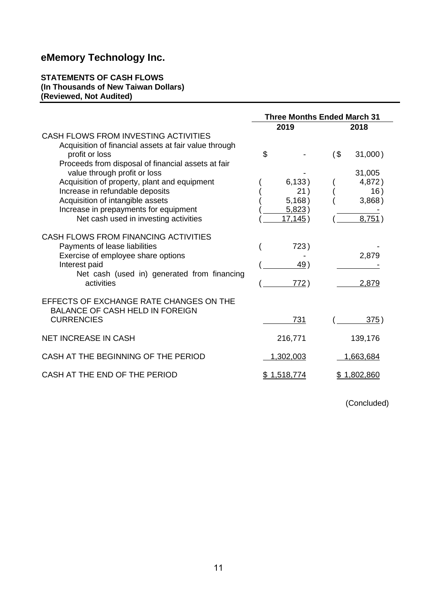#### **STATEMENTS OF CASH FLOWS (In Thousands of New Taiwan Dollars) (Reviewed, Not Audited)**

|                                                                                                                                                                                                                                                                                                                                                                                                                | <b>Three Months Ended March 31</b>                         |                                                                  |
|----------------------------------------------------------------------------------------------------------------------------------------------------------------------------------------------------------------------------------------------------------------------------------------------------------------------------------------------------------------------------------------------------------------|------------------------------------------------------------|------------------------------------------------------------------|
|                                                                                                                                                                                                                                                                                                                                                                                                                | 2019                                                       | 2018                                                             |
| CASH FLOWS FROM INVESTING ACTIVITIES<br>Acquisition of financial assets at fair value through<br>profit or loss<br>Proceeds from disposal of financial assets at fair<br>value through profit or loss<br>Acquisition of property, plant and equipment<br>Increase in refundable deposits<br>Acquisition of intangible assets<br>Increase in prepayments for equipment<br>Net cash used in investing activities | \$<br>6,133)<br>21)<br>5,168)<br>5,823)<br><u>17,145</u> ) | $($ \$<br>31,000)<br>31,005<br>4,872)<br>16)<br>3,868)<br>8,751) |
| CASH FLOWS FROM FINANCING ACTIVITIES<br>Payments of lease liabilities<br>Exercise of employee share options<br>Interest paid<br>Net cash (used in) generated from financing<br>activities                                                                                                                                                                                                                      | 723)<br>49 )<br>772)                                       | 2,879<br>2.879                                                   |
| EFFECTS OF EXCHANGE RATE CHANGES ON THE<br><b>BALANCE OF CASH HELD IN FOREIGN</b><br><b>CURRENCIES</b>                                                                                                                                                                                                                                                                                                         | 731                                                        | 375)                                                             |
| <b>NET INCREASE IN CASH</b>                                                                                                                                                                                                                                                                                                                                                                                    | 216,771                                                    | 139,176                                                          |
| CASH AT THE BEGINNING OF THE PERIOD                                                                                                                                                                                                                                                                                                                                                                            | 1,302,003                                                  | 1,663,684                                                        |
| CASH AT THE END OF THE PERIOD                                                                                                                                                                                                                                                                                                                                                                                  | \$1,518,774                                                | <u>\$1,802,860</u>                                               |

(Concluded)